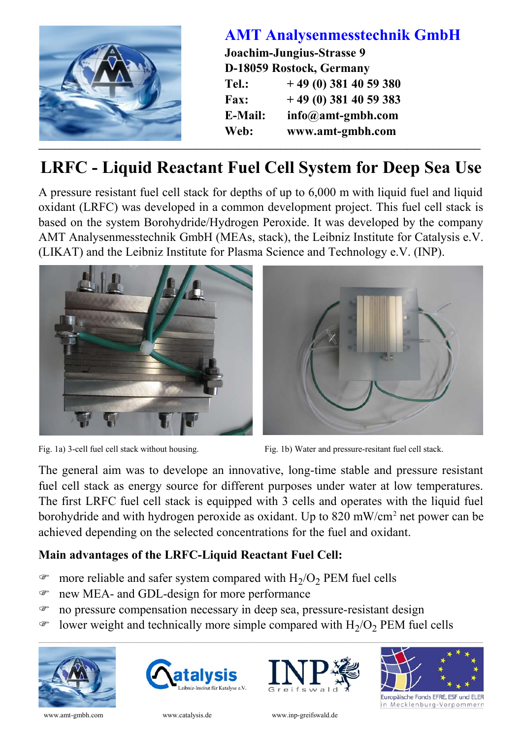

## **LRFC - Liquid Reactant Fuel Cell System for Deep Sea Use**

A pressure resistant fuel cell stack for depths of up to 6,000 m with liquid fuel and liquid oxidant (LRFC) was developed in a common development project. This fuel cell stack is based on the system Borohydride/Hydrogen Peroxide. It was developed by the company AMT Analysenmesstechnik GmbH (MEAs, stack), the Leibniz Institute for Catalysis e.V. (LIKAT) and the Leibniz Institute for Plasma Science and Technology e.V. (INP).





Fig. 1a) 3-cell fuel cell stack without housing. Fig. 1b) Water and pressure-resitant fuel cell stack.

The general aim was to develope an innovative, long-time stable and pressure resistant fuel cell stack as energy source for different purposes under water at low temperatures. The first LRFC fuel cell stack is equipped with 3 cells and operates with the liquid fuel borohydride and with hydrogen peroxide as oxidant. Up to 820 mW/cm<sup>2</sup> net power can be achieved depending on the selected concentrations for the fuel and oxidant.

## **Main advantages of the LRFC-Liquid Reactant Fuel Cell:**

- $\bullet$  more reliable and safer system compared with  $H_2/O_2$  PEM fuel cells
- F new MEA- and GDL-design for more performance
- F no pressure compensation necessary in deep sea, pressure-resistant design
- $\bullet$  lower weight and technically more simple compared with  $H_2/O_2$  PEM fuel cells

 $\_$  , and the state of the state of the state of the state of the state of the state of the state of the state of the state of the state of the state of the state of the state of the state of the state of the state of the









in Mecklenburg-Vorpommern